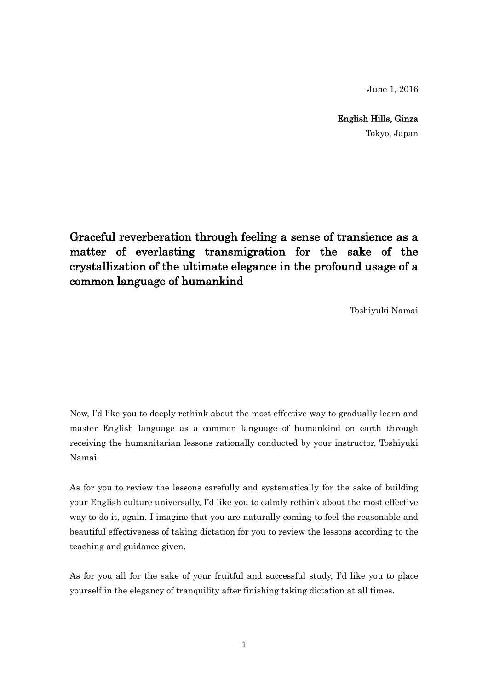June 1, 2016

English Hills, Ginza

Tokyo, Japan

Graceful reverberation through feeling a sense of transience as a matter of everlasting transmigration for the sake of the crystallization of the ultimate elegance in the profound usage of a common language of humankind

Toshiyuki Namai

Now, I'd like you to deeply rethink about the most effective way to gradually learn and master English language as a common language of humankind on earth through receiving the humanitarian lessons rationally conducted by your instructor, Toshiyuki Namai.

As for you to review the lessons carefully and systematically for the sake of building your English culture universally, I'd like you to calmly rethink about the most effective way to do it, again. I imagine that you are naturally coming to feel the reasonable and beautiful effectiveness of taking dictation for you to review the lessons according to the teaching and guidance given.

As for you all for the sake of your fruitful and successful study, I'd like you to place yourself in the elegancy of tranquility after finishing taking dictation at all times.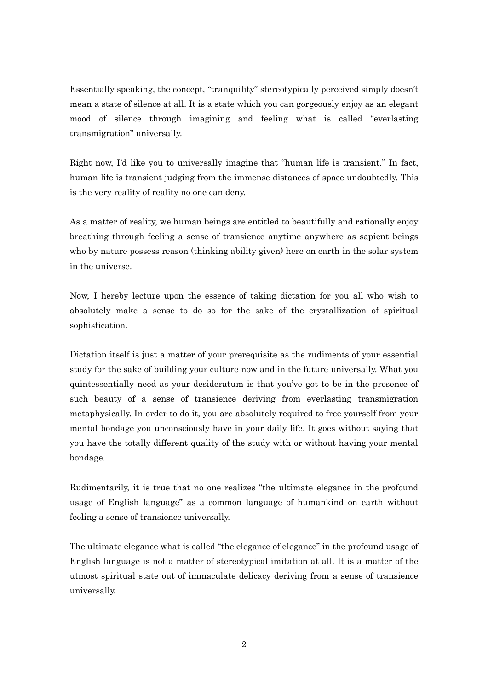Essentially speaking, the concept, "tranquility" stereotypically perceived simply doesn't mean a state of silence at all. It is a state which you can gorgeously enjoy as an elegant mood of silence through imagining and feeling what is called "everlasting transmigration" universally.

Right now, I'd like you to universally imagine that "human life is transient." In fact, human life is transient judging from the immense distances of space undoubtedly. This is the very reality of reality no one can deny.

As a matter of reality, we human beings are entitled to beautifully and rationally enjoy breathing through feeling a sense of transience anytime anywhere as sapient beings who by nature possess reason (thinking ability given) here on earth in the solar system in the universe.

Now, I hereby lecture upon the essence of taking dictation for you all who wish to absolutely make a sense to do so for the sake of the crystallization of spiritual sophistication.

Dictation itself is just a matter of your prerequisite as the rudiments of your essential study for the sake of building your culture now and in the future universally. What you quintessentially need as your desideratum is that you've got to be in the presence of such beauty of a sense of transience deriving from everlasting transmigration metaphysically. In order to do it, you are absolutely required to free yourself from your mental bondage you unconsciously have in your daily life. It goes without saying that you have the totally different quality of the study with or without having your mental bondage.

Rudimentarily, it is true that no one realizes "the ultimate elegance in the profound usage of English language" as a common language of humankind on earth without feeling a sense of transience universally.

The ultimate elegance what is called "the elegance of elegance" in the profound usage of English language is not a matter of stereotypical imitation at all. It is a matter of the utmost spiritual state out of immaculate delicacy deriving from a sense of transience universally.